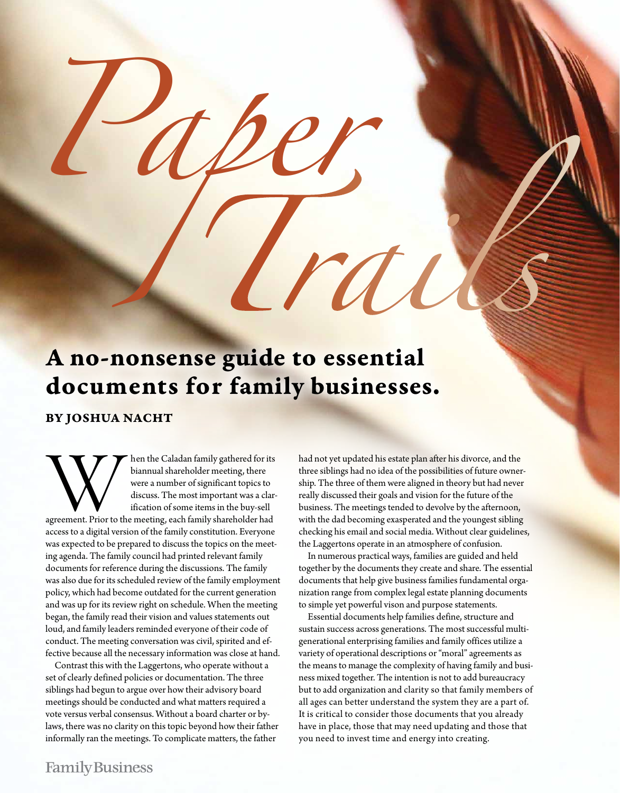# *Paper Trades* A no-nonsense guide to essential documents for family businesses.

BY JOSHUA NACHT

Mullet and the Caladan family gathered for its<br>
were a number of significant topics to<br>
discuss. The most important was a clar-<br>
ification of some items in the buy-sell<br>
agreement. Prior to the meeting, each family shareho biannual shareholder meeting, there were a number of significant topics to discuss. The most important was a clarification of some items in the buy-sell access to a digital version of the family constitution. Everyone was expected to be prepared to discuss the topics on the meeting agenda. The family council had printed relevant family documents for reference during the discussions. The family was also due for its scheduled review of the family employment policy, which had become outdated for the current generation and was up for its review right on schedule. When the meeting began, the family read their vision and values statements out loud, and family leaders reminded everyone of their code of conduct. The meeting conversation was civil, spirited and effective because all the necessary information was close at hand.

Contrast this with the Laggertons, who operate without a set of clearly defined policies or documentation. The three siblings had begun to argue over how their advisory board meetings should be conducted and what matters required a vote versus verbal consensus. Without a board charter or bylaws, there was no clarity on this topic beyond how their father informally ran the meetings. To complicate matters, the father

had not yet updated his estate plan after his divorce, and the three siblings had no idea of the possibilities of future ownership. The three of them were aligned in theory but had never really discussed their goals and vision for the future of the business. The meetings tended to devolve by the afternoon, with the dad becoming exasperated and the youngest sibling checking his email and social media. Without clear guidelines, the Laggertons operate in an atmosphere of confusion.

In numerous practical ways, families are guided and held together by the documents they create and share. The essential documents that help give business families fundamental organization range from complex legal estate planning documents to simple yet powerful vison and purpose statements.

Essential documents help families define, structure and sustain success across generations. The most successful multigenerational enterprising families and family offices utilize a variety of operational descriptions or "moral" agreements as the means to manage the complexity of having family and business mixed together. The intention is not to add bureaucracy but to add organization and clarity so that family members of all ages can better understand the system they are a part of. It is critical to consider those documents that you already have in place, those that may need updating and those that you need to invest time and energy into creating.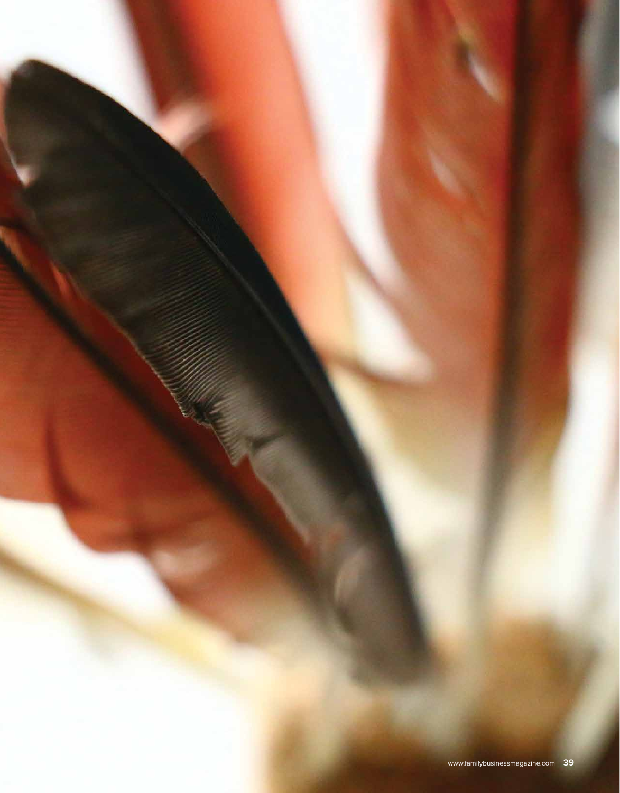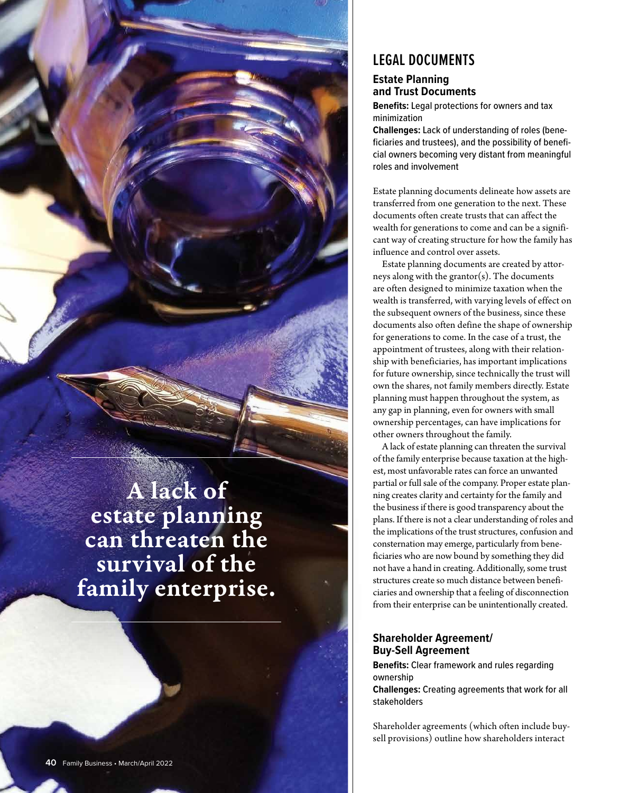

# **LEGAL DOCUMENTS**

#### **Estate Planning and Trust Documents**

**Benefits:** Legal protections for owners and tax minimization

**Challenges:** Lack of understanding of roles (beneficiaries and trustees), and the possibility of beneficial owners becoming very distant from meaningful roles and involvement

Estate planning documents delineate how assets are transferred from one generation to the next. These documents often create trusts that can affect the wealth for generations to come and can be a significant way of creating structure for how the family has influence and control over assets.

Estate planning documents are created by attorneys along with the grantor $(s)$ . The documents are often designed to minimize taxation when the wealth is transferred, with varying levels of effect on the subsequent owners of the business, since these documents also often define the shape of ownership for generations to come. In the case of a trust, the appointment of trustees, along with their relationship with beneficiaries, has important implications for future ownership, since technically the trust will own the shares, not family members directly. Estate planning must happen throughout the system, as any gap in planning, even for owners with small ownership percentages, can have implications for other owners throughout the family.

A lack of estate planning can threaten the survival of the family enterprise because taxation at the highest, most unfavorable rates can force an unwanted partial or full sale of the company. Proper estate planning creates clarity and certainty for the family and the business if there is good transparency about the plans. If there is not a clear understanding of roles and the implications of the trust structures, confusion and consternation may emerge, particularly from beneficiaries who are now bound by something they did not have a hand in creating. Additionally, some trust structures create so much distance between beneficiaries and ownership that a feeling of disconnection from their enterprise can be unintentionally created.

#### **Shareholder Agreement/ Buy-Sell Agreement**

**Benefits:** Clear framework and rules regarding ownership

**Challenges:** Creating agreements that work for all stakeholders

Shareholder agreements (which often include buysell provisions) outline how shareholders interact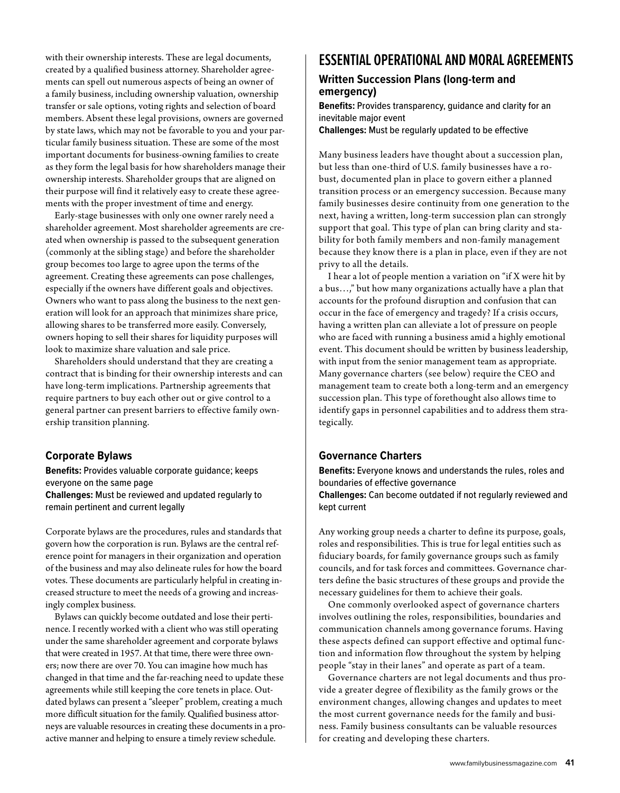with their ownership interests. These are legal documents, created by a qualified business attorney. Shareholder agreements can spell out numerous aspects of being an owner of a family business, including ownership valuation, ownership transfer or sale options, voting rights and selection of board members. Absent these legal provisions, owners are governed by state laws, which may not be favorable to you and your particular family business situation. These are some of the most important documents for business-owning families to create as they form the legal basis for how shareholders manage their ownership interests. Shareholder groups that are aligned on their purpose will find it relatively easy to create these agreements with the proper investment of time and energy.

Early-stage businesses with only one owner rarely need a shareholder agreement. Most shareholder agreements are created when ownership is passed to the subsequent generation (commonly at the sibling stage) and before the shareholder group becomes too large to agree upon the terms of the agreement. Creating these agreements can pose challenges, especially if the owners have different goals and objectives. Owners who want to pass along the business to the next generation will look for an approach that minimizes share price, allowing shares to be transferred more easily. Conversely, owners hoping to sell their shares for liquidity purposes will look to maximize share valuation and sale price.

Shareholders should understand that they are creating a contract that is binding for their ownership interests and can have long-term implications. Partnership agreements that require partners to buy each other out or give control to a general partner can present barriers to effective family ownership transition planning.

#### **Corporate Bylaws**

**Benefits:** Provides valuable corporate guidance; keeps everyone on the same page **Challenges:** Must be reviewed and updated regularly to remain pertinent and current legally

Corporate bylaws are the procedures, rules and standards that govern how the corporation is run. Bylaws are the central reference point for managers in their organization and operation of the business and may also delineate rules for how the board votes. These documents are particularly helpful in creating increased structure to meet the needs of a growing and increasingly complex business.

Bylaws can quickly become outdated and lose their pertinence. I recently worked with a client who was still operating under the same shareholder agreement and corporate bylaws that were created in 1957. At that time, there were three owners; now there are over 70. You can imagine how much has changed in that time and the far-reaching need to update these agreements while still keeping the core tenets in place. Outdated bylaws can present a "sleeper" problem, creating a much more difficult situation for the family. Qualified business attorneys are valuable resources in creating these documents in a proactive manner and helping to ensure a timely review schedule.

# **ESSENTIAL OPERATIONAL AND MORAL AGREEMENTS**

#### **Written Succession Plans (long-term and emergency)**

**Benefits:** Provides transparency, guidance and clarity for an inevitable major event

**Challenges:** Must be regularly updated to be effective

Many business leaders have thought about a succession plan, but less than one-third of U.S. family businesses have a robust, documented plan in place to govern either a planned transition process or an emergency succession. Because many family businesses desire continuity from one generation to the next, having a written, long-term succession plan can strongly support that goal. This type of plan can bring clarity and stability for both family members and non-family management because they know there is a plan in place, even if they are not privy to all the details.

I hear a lot of people mention a variation on "if X were hit by a bus…," but how many organizations actually have a plan that accounts for the profound disruption and confusion that can occur in the face of emergency and tragedy? If a crisis occurs, having a written plan can alleviate a lot of pressure on people who are faced with running a business amid a highly emotional event. This document should be written by business leadership, with input from the senior management team as appropriate. Many governance charters (see below) require the CEO and management team to create both a long-term and an emergency succession plan. This type of forethought also allows time to identify gaps in personnel capabilities and to address them strategically.

#### **Governance Charters**

**Benefits:** Everyone knows and understands the rules, roles and boundaries of effective governance **Challenges:** Can become outdated if not regularly reviewed and kept current

Any working group needs a charter to define its purpose, goals, roles and responsibilities. This is true for legal entities such as fiduciary boards, for family governance groups such as family councils, and for task forces and committees. Governance charters define the basic structures of these groups and provide the necessary guidelines for them to achieve their goals.

One commonly overlooked aspect of governance charters involves outlining the roles, responsibilities, boundaries and communication channels among governance forums. Having these aspects defined can support effective and optimal function and information flow throughout the system by helping people "stay in their lanes" and operate as part of a team.

Governance charters are not legal documents and thus provide a greater degree of flexibility as the family grows or the environment changes, allowing changes and updates to meet the most current governance needs for the family and business. Family business consultants can be valuable resources for creating and developing these charters.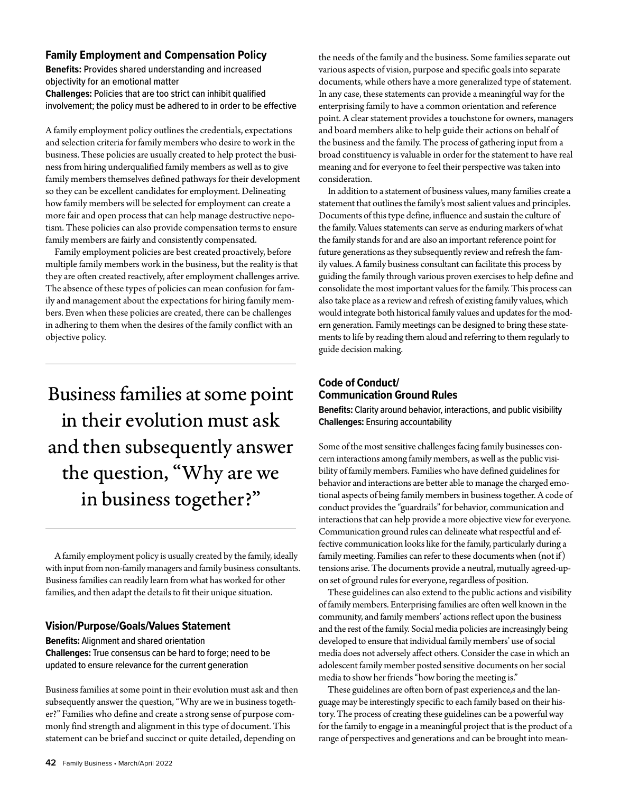#### **Family Employment and Compensation Policy**

**Benefits:** Provides shared understanding and increased objectivity for an emotional matter **Challenges:** Policies that are too strict can inhibit qualified involvement; the policy must be adhered to in order to be effective

A family employment policy outlines the credentials, expectations and selection criteria for family members who desire to work in the business. These policies are usually created to help protect the business from hiring underqualified family members as well as to give family members themselves defined pathways for their development so they can be excellent candidates for employment. Delineating how family members will be selected for employment can create a more fair and open process that can help manage destructive nepotism. These policies can also provide compensation terms to ensure family members are fairly and consistently compensated.

Family employment policies are best created proactively, before multiple family members work in the business, but the reality is that they are often created reactively, after employment challenges arrive. The absence of these types of policies can mean confusion for family and management about the expectations for hiring family members. Even when these policies are created, there can be challenges in adhering to them when the desires of the family conflict with an objective policy.

# Business families at some point in their evolution must ask and then subsequently answer the question, "Why are we in business together?"

A family employment policy is usually created by the family, ideally with input from non-family managers and family business consultants. Business families can readily learn from what has worked for other families, and then adapt the details to fit their unique situation.

#### **Vision/Purpose/Goals/Values Statement**

**Benefits:** Alignment and shared orientation **Challenges:** True consensus can be hard to forge; need to be updated to ensure relevance for the current generation

Business families at some point in their evolution must ask and then subsequently answer the question, "Why are we in business together?" Families who define and create a strong sense of purpose commonly find strength and alignment in this type of document. This statement can be brief and succinct or quite detailed, depending on

the needs of the family and the business. Some families separate out various aspects of vision, purpose and specific goals into separate documents, while others have a more generalized type of statement. In any case, these statements can provide a meaningful way for the enterprising family to have a common orientation and reference point. A clear statement provides a touchstone for owners, managers and board members alike to help guide their actions on behalf of the business and the family. The process of gathering input from a broad constituency is valuable in order for the statement to have real meaning and for everyone to feel their perspective was taken into consideration.

In addition to a statement of business values, many families create a statement that outlines the family's most salient values and principles. Documents of this type define, influence and sustain the culture of the family. Values statements can serve as enduring markers of what the family stands for and are also an important reference point for future generations as they subsequently review and refresh the family values. A family business consultant can facilitate this process by guiding the family through various proven exercises to help define and consolidate the most important values for the family. This process can also take place as a review and refresh of existing family values, which would integrate both historical family values and updates for the modern generation. Family meetings can be designed to bring these statements to life by reading them aloud and referring to them regularly to guide decision making.

## **Code of Conduct/ Communication Ground Rules**

**Benefits:** Clarity around behavior, interactions, and public visibility **Challenges:** Ensuring accountability

Some of the most sensitive challenges facing family businesses concern interactions among family members, as well as the public visibility of family members. Families who have defined guidelines for behavior and interactions are better able to manage the charged emotional aspects of being family members in business together. A code of conduct provides the "guardrails" for behavior, communication and interactions that can help provide a more objective view for everyone. Communication ground rules can delineate what respectful and effective communication looks like for the family, particularly during a family meeting. Families can refer to these documents when (not if) tensions arise. The documents provide a neutral, mutually agreed-upon set of ground rules for everyone, regardless of position.

These guidelines can also extend to the public actions and visibility of family members. Enterprising families are often well known in the community, and family members' actions reflect upon the business and the rest of the family. Social media policies are increasingly being developed to ensure that individual family members' use of social media does not adversely affect others. Consider the case in which an adolescent family member posted sensitive documents on her social media to show her friends "how boring the meeting is."

These guidelines are often born of past experience, s and the language may be interestingly specific to each family based on their history. The process of creating these guidelines can be a powerful way for the family to engage in a meaningful project that is the product of a range of perspectives and generations and can be brought into mean-